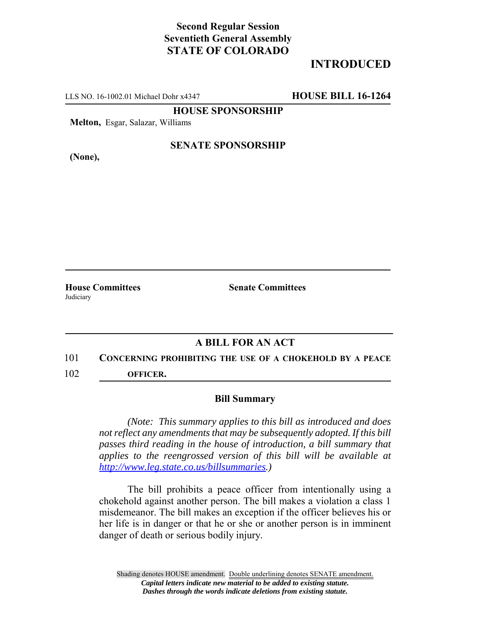# **Second Regular Session Seventieth General Assembly STATE OF COLORADO**

# **INTRODUCED**

LLS NO. 16-1002.01 Michael Dohr x4347 **HOUSE BILL 16-1264**

**HOUSE SPONSORSHIP**

**Melton,** Esgar, Salazar, Williams

**(None),**

#### **SENATE SPONSORSHIP**

**House Committees Senate Committees** Judiciary

### **A BILL FOR AN ACT**

### 101 **CONCERNING PROHIBITING THE USE OF A CHOKEHOLD BY A PEACE**

102 **OFFICER.**

#### **Bill Summary**

*(Note: This summary applies to this bill as introduced and does not reflect any amendments that may be subsequently adopted. If this bill passes third reading in the house of introduction, a bill summary that applies to the reengrossed version of this bill will be available at http://www.leg.state.co.us/billsummaries.)*

The bill prohibits a peace officer from intentionally using a chokehold against another person. The bill makes a violation a class 1 misdemeanor. The bill makes an exception if the officer believes his or her life is in danger or that he or she or another person is in imminent danger of death or serious bodily injury.

Shading denotes HOUSE amendment. Double underlining denotes SENATE amendment. *Capital letters indicate new material to be added to existing statute. Dashes through the words indicate deletions from existing statute.*